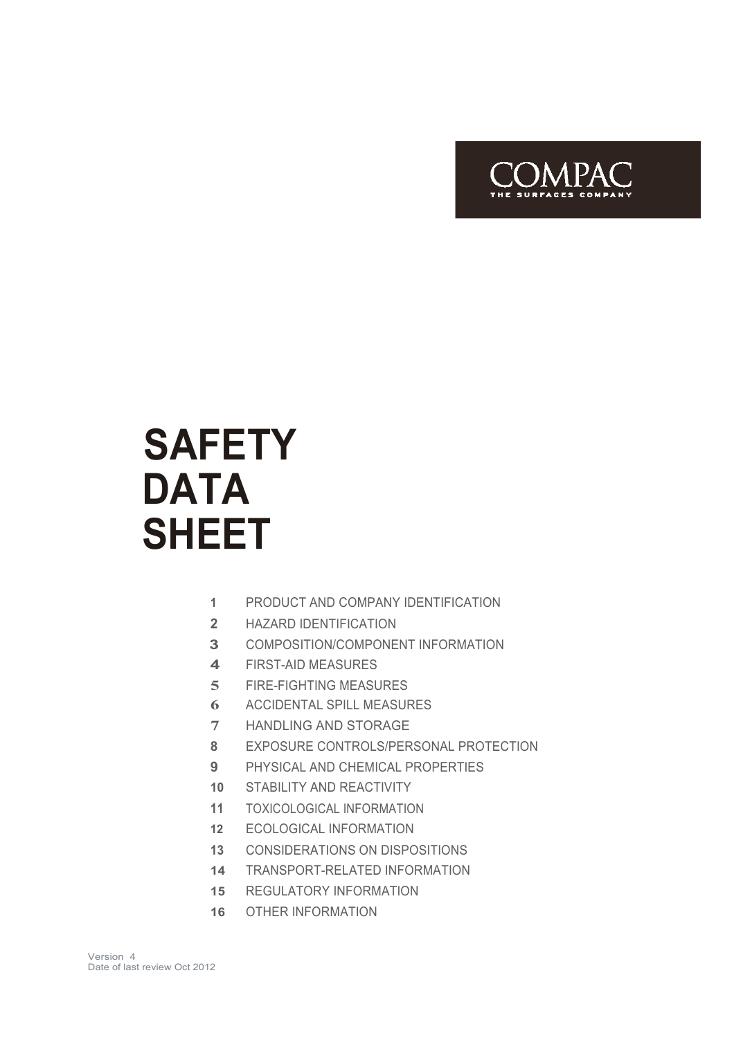

# **SAFETY DATA SHEET**

- PRODUCT AND COMPANY IDENTIFICATION
- HAZARD IDENTIFICATION
- COMPOSITION/COMPONENT INFORMATION
- FIRST-AID MEASURES
- FIRE-FIGHTING MEASURES
- ACCIDENTAL SPILL MEASURES
- HANDLING AND STORAGE
- EXPOSURE CONTROLS/PERSONAL PROTECTION
- PHYSICAL AND CHEMICAL PROPERTIES
- STABILITY AND REACTIVITY
- TOXICOLOGICAL INFORMATION
- ECOLOGICAL INFORMATION
- CONSIDERATIONS ON DISPOSITIONS
- TRANSPORT-RELATED INFORMATION
- REGULATORY INFORMATION
- OTHER INFORMATION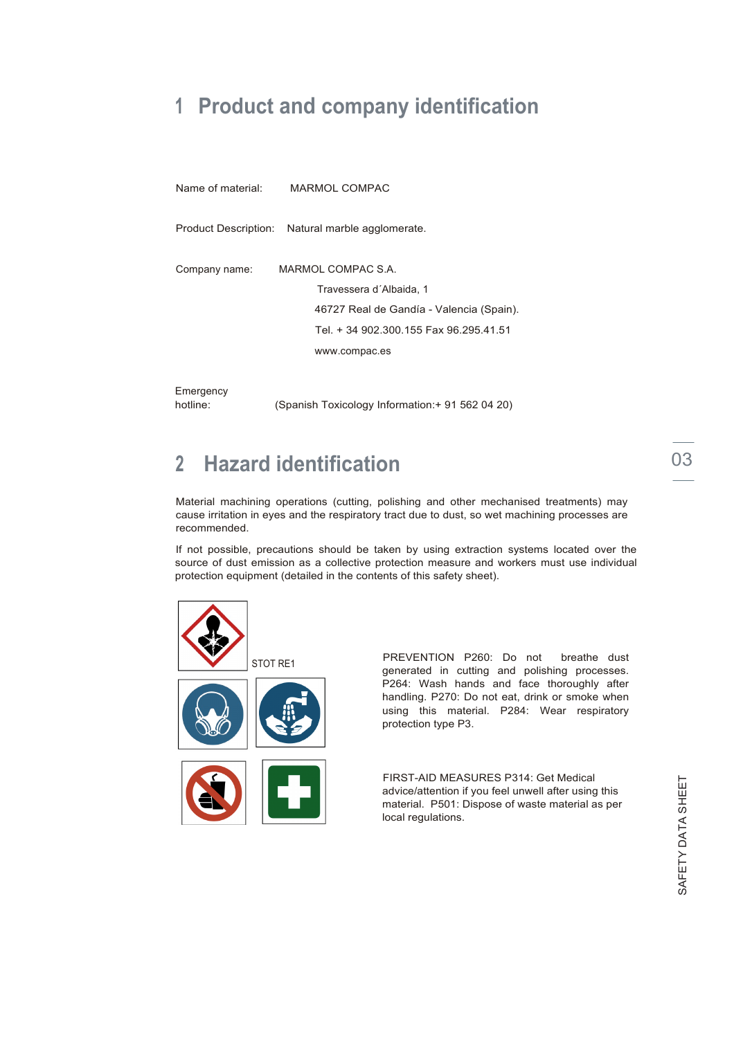### **1 Product and company identification**

Name of material: MARMOL COMPAC

Product Description: Natural marble agglomerate.

| Company name: | MARMOL COMPAC S.A.                       |  |  |
|---------------|------------------------------------------|--|--|
|               | Travessera d'Albaida, 1                  |  |  |
|               | 46727 Real de Gandía - Valencia (Spain). |  |  |
|               | Tel. + 34 902.300.155 Fax 96.295.41.51   |  |  |
|               | www.compac.es                            |  |  |
|               |                                          |  |  |

**Emergency** 

hotline: (Spanish Toxicology Information: + 91 562 04 20)

### **2 Hazard identification**

Material machining operations (cutting, polishing and other mechanised treatments) may cause irritation in eyes and the respiratory tract due to dust, so wet machining processes are recommended.

If not possible, precautions should be taken by using extraction systems located over the source of dust emission as a collective protection measure and workers must use individual protection equipment (detailed in the contents of this safety sheet).



STOT RE1 PREVENTION P260: Do not breathe dust generated in cutting and polishing processes. P264: Wash hands and face thoroughly after handling. P270: Do not eat, drink or smoke when using this material. P284: Wear respiratory protection type P3.

> FIRST-AID MEASURES P314: Get Medical advice/attention if you feel unwell after using this material. P501: Dispose of waste material as per local regulations.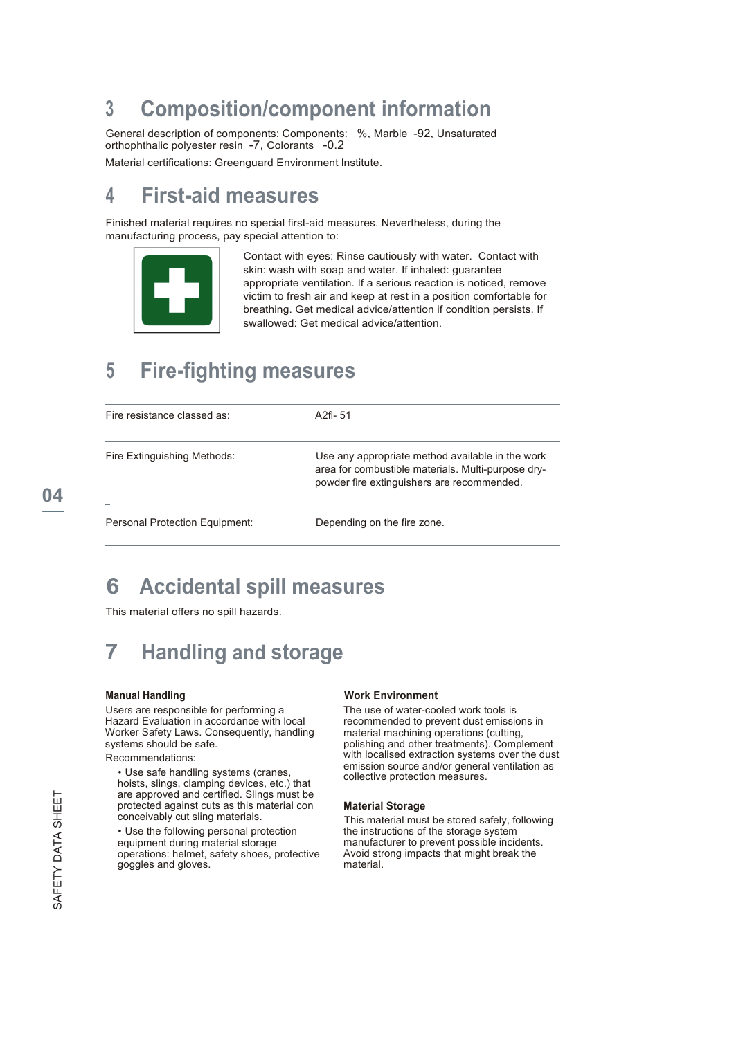### **3 Composition/component information**

General description of components: Components: %, Marble -92, Unsaturated orthophthalic polyester resin -7, Colorants -0.2

Material certifications: Greenguard Environment lnstitute.

### **4 First-aid measures**

Finished material requires no special first-aid measures. Nevertheless, during the manufacturing process, pay special attention to:



Contact with eyes: Rinse cautiously with water. Contact with skin: wash with soap and water. If inhaled: guarantee appropriate ventilation. If a serious reaction is noticed, remove victim to fresh air and keep at rest in a position comfortable for breathing. Get medical advice/attention if condition persists. If swallowed: Get medical advice/attention.

### **5 Fire-fighting measures**

| Fire resistance classed as:    | A <sub>2fl</sub> -51                                                                                                                                 |
|--------------------------------|------------------------------------------------------------------------------------------------------------------------------------------------------|
| Fire Extinguishing Methods:    | Use any appropriate method available in the work<br>area for combustible materials. Multi-purpose dry-<br>powder fire extinguishers are recommended. |
| Personal Protection Equipment: | Depending on the fire zone.                                                                                                                          |

### **6 Accidental spill measures**

This material offers no spill hazards.

### **7 Handling and storage**

#### **Manual Handling**

Users are responsible for performing a Hazard Evaluation in accordance with local Worker Safety Laws. Consequently, handling systems should be safe. Recommendations:

• Use safe handling systems (cranes, hoists, slings, clamping devices, etc.) that are approved and certified. Slings must be protected against cuts as this material con conceivably cut sling materials.

• Use the following personal protection equipment during material storage operations: helmet, safety shoes, protective goggles and gloves.

#### **Work Environment**

The use of water-cooled work tools is recommended to prevent dust emissions in material machining operations (cutting, polishing and other treatments). Complement with localised extraction systems over the dust emission source and/or general ventilation as collective protection measures.

#### **Material Storage**

This material must be stored safely, following the instructions of the storage system manufacturer to prevent possible incidents. Avoid strong impacts that might break the material.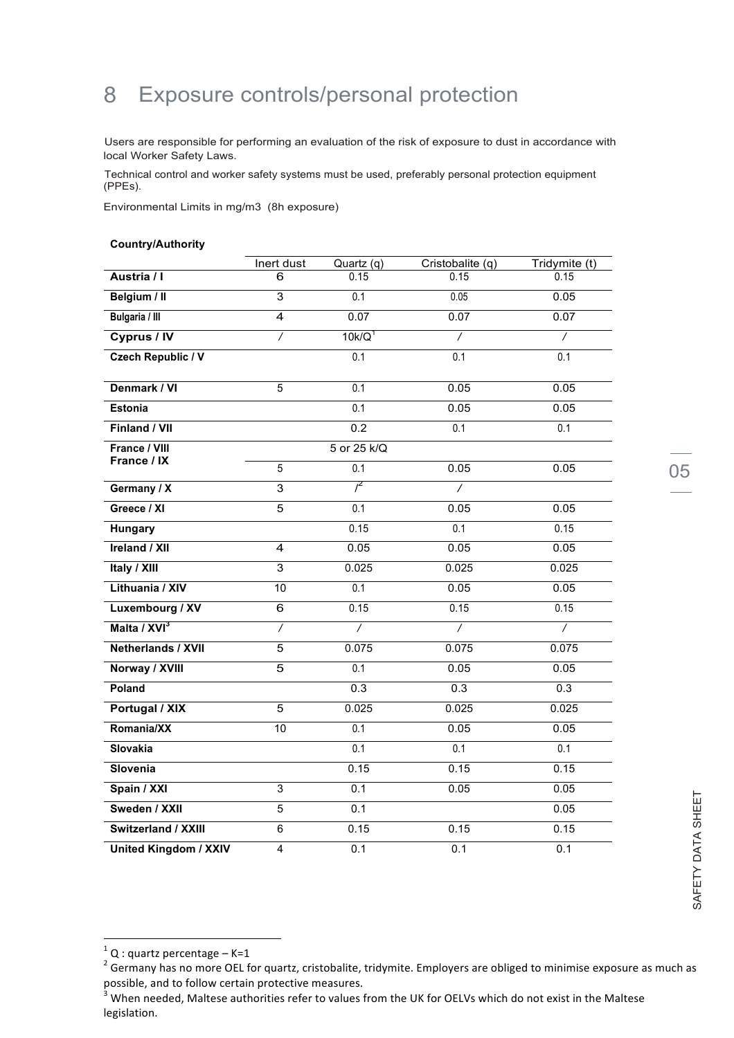### 8 Exposure controls/personal protection

Users are responsible for performing an evaluation of the risk of exposure to dust in accordance with local Worker Safety Laws.

Technical control and worker safety systems must be used, preferably personal protection equipment (PPEs).

Environmental Limits in mg/m3 (8h exposure)

#### **Country/Authority**

|                              | Inert dust      | Quartz(q)          | Cristobalite (q) | Tridymite (t)    |
|------------------------------|-----------------|--------------------|------------------|------------------|
| Austria / I                  | 6               | 0.15               | 0.15             | 0.15             |
| Belgium / II                 | 3               | 0.1                | 0.05             | 0.05             |
| Bulgaria / III               | $\overline{4}$  | 0.07               | 0.07             | 0.07             |
| Cyprus / IV                  | $\overline{1}$  | 10k/Q <sup>1</sup> | $\overline{1}$   | $\prime$         |
| <b>Czech Republic / V</b>    |                 | 0.1                | $\overline{0.1}$ | $\overline{0.1}$ |
| Denmark / VI                 | $\overline{5}$  | 0.1                | 0.05             | 0.05             |
| <b>Estonia</b>               |                 | 0.1                | 0.05             | 0.05             |
| Finland / VII                |                 | 0.2                | 0.1              | $\overline{0.1}$ |
| France / VIII                |                 | 5 or 25 k/Q        |                  |                  |
| France / IX                  | 5               | 0.1                | 0.05             | 0.05             |
| Germany / X                  | $\overline{3}$  | $i^2$              | 7                |                  |
| Greece / XI                  | $\overline{5}$  | $\overline{0.1}$   | 0.05             | 0.05             |
| Hungary                      |                 | 0.15               | $\overline{0.1}$ | 0.15             |
| <b>Ireland / XII</b>         | 4               | 0.05               | 0.05             | 0.05             |
| Italy / XIII                 | 3               | 0.025              | 0.025            | 0.025            |
| Lithuania / XIV              | 10              | 0.1                | 0.05             | 0.05             |
| Luxembourg / XV              | $\overline{6}$  | 0.15               | 0.15             | 0.15             |
| Malta / XVI <sup>3</sup>     | $\prime$        | 7                  | $\overline{1}$   | 7                |
| <b>Netherlands / XVII</b>    | $\overline{5}$  | 0.075              | 0.075            | 0.075            |
| Norway / XVIII               | 5               | 0.1                | 0.05             | 0.05             |
| Poland                       |                 | 0.3                | 0.3              | 0.3              |
| Portugal / XIX               | 5               | 0.025              | 0.025            | 0.025            |
| Romania/XX                   | $\overline{10}$ | 0.1                | 0.05             | 0.05             |
| <b>Slovakia</b>              |                 | 0.1                | 0.1              | 0.1              |
| Slovenia                     |                 | 0.15               | 0.15             | 0.15             |
| Spain / XXI                  | 3               | 0.1                | 0.05             | 0.05             |
| Sweden / XXII                | 5               | 0.1                |                  | 0.05             |
| Switzerland / XXIII          | $\overline{6}$  | 0.15               | 0.15             | 0.15             |
| <b>United Kingdom / XXIV</b> | $\overline{4}$  | 0.1                | $\overline{0.1}$ | 0.1              |

<u> 1989 - Jan Samuel Barbara, margaret e</u>

<sup>&</sup>lt;sup>1</sup> Q : quartz percentage – K=1<br>
<sup>2</sup> Germany has no more OEL for quartz, cristobalite, tridymite. Employers are obliged to minimise exposure as much as<br>
possible, and to follow certain protective measures.

When needed, Maltese authorities refer to values from the UK for OELVs which do not exist in the Maltese legislation.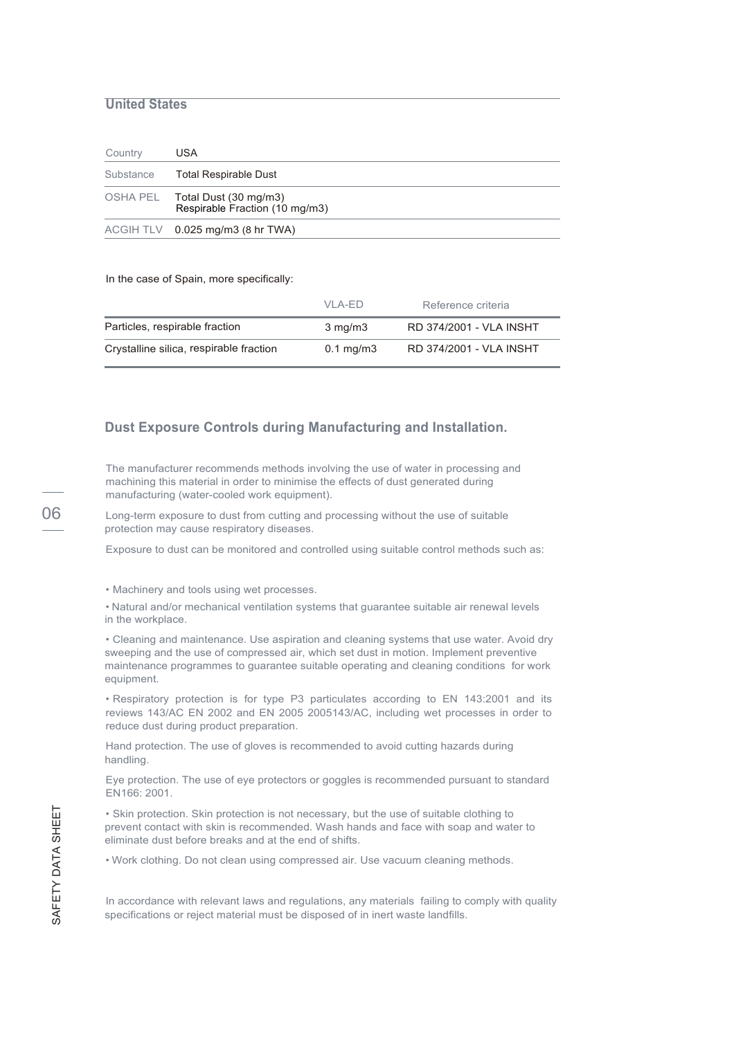### **United States**

| Country   | USA                                                              |
|-----------|------------------------------------------------------------------|
| Substance | Total Respirable Dust                                            |
|           | OSHA PEL Total Dust (30 mg/m3)<br>Respirable Fraction (10 mg/m3) |
|           | $ACGIH TLV$ 0.025 mg/m3 (8 hr TWA)                               |

In the case of Spain, more specifically:

|                                         | VI A-FD              | Reference criteria      |
|-----------------------------------------|----------------------|-------------------------|
| Particles, respirable fraction          | $3 \text{ mg/m}$     | RD 374/2001 - VLA INSHT |
| Crystalline silica, respirable fraction | $0.1 \text{ mg/m}$ 3 | RD 374/2001 - VLA INSHT |

### **Dust Exposure Controls during Manufacturing and Installation.**

The manufacturer recommends methods involving the use of water in processing and machining this material in order to minimise the effects of dust generated during manufacturing (water-cooled work equipment).

06 Long-term exposure to dust from cutting and processing without the use of suitable protection may cause respiratory diseases.

Exposure to dust can be monitored and controlled using suitable control methods such as:

• Machinery and tools using wet processes.

• Natural and/or mechanical ventilation systems that guarantee suitable air renewal levels in the workplace.

• Cleaning and maintenance. Use aspiration and cleaning systems that use water. Avoid dry sweeping and the use of compressed air, which set dust in motion. Implement preventive maintenance programmes to guarantee suitable operating and cleaning conditions for work equipment.

• Respiratory protection is for type P3 particulates according to EN 143:2001 and its reviews 143/AC EN 2002 and EN 2005 2005143/AC, including wet processes in order to reduce dust during product preparation.

Hand protection. The use of gloves is recommended to avoid cutting hazards during handling.

Eye protection. The use of eye protectors or goggles is recommended pursuant to standard EN166: 2001.

• Skin protection. Skin protection is not necessary, but the use of suitable clothing to prevent contact with skin is recommended. Wash hands and face with soap and water to eliminate dust before breaks and at the end of shifts.

• Work clothing. Do not clean using compressed air. Use vacuum cleaning methods.

In accordance with relevant laws and regulations, any materials failing to comply with quality specifications or reject material must be disposed of in inert waste landfills.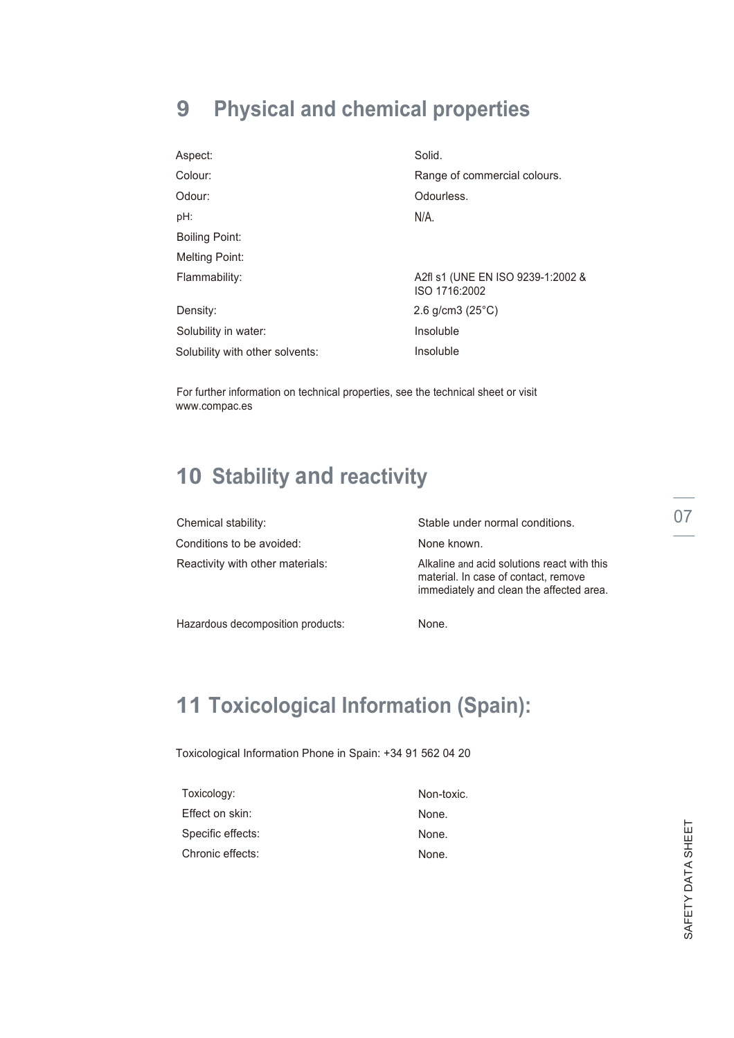# **9 Physical and chemical properties**

| Aspect:                         | Solid.                                             |
|---------------------------------|----------------------------------------------------|
| Colour:                         | Range of commercial colours.                       |
| Odour:                          | Odourless.                                         |
| pH:                             | N/A.                                               |
| <b>Boiling Point:</b>           |                                                    |
| Melting Point:                  |                                                    |
| Flammability:                   | A2fl s1 (UNE EN ISO 9239-1:2002 &<br>ISO 1716:2002 |
| Density:                        | 2.6 g/cm3 $(25^{\circ}C)$                          |
| Solubility in water:            | Insoluble                                          |
| Solubility with other solvents: | Insoluble                                          |

For further information on technical properties, see the technical sheet or visit www.compac.es

### **10 Stability and reactivity**

| Chemical stability:              | Stable under normal conditions.                                                                                                 |  |
|----------------------------------|---------------------------------------------------------------------------------------------------------------------------------|--|
| Conditions to be avoided:        | None known.                                                                                                                     |  |
| Reactivity with other materials: | Alkaline and acid solutions react with this<br>material. In case of contact, remove<br>immediately and clean the affected area. |  |

Hazardous decomposition products:

None.

### **11 Toxicological Information (Spain):**

Toxicological Information Phone in Spain: +34 91 562 04 20

| Toxicology:       | Non-toxic. |
|-------------------|------------|
| Effect on skin:   | None.      |
| Specific effects: | None.      |
| Chronic effects:  | None.      |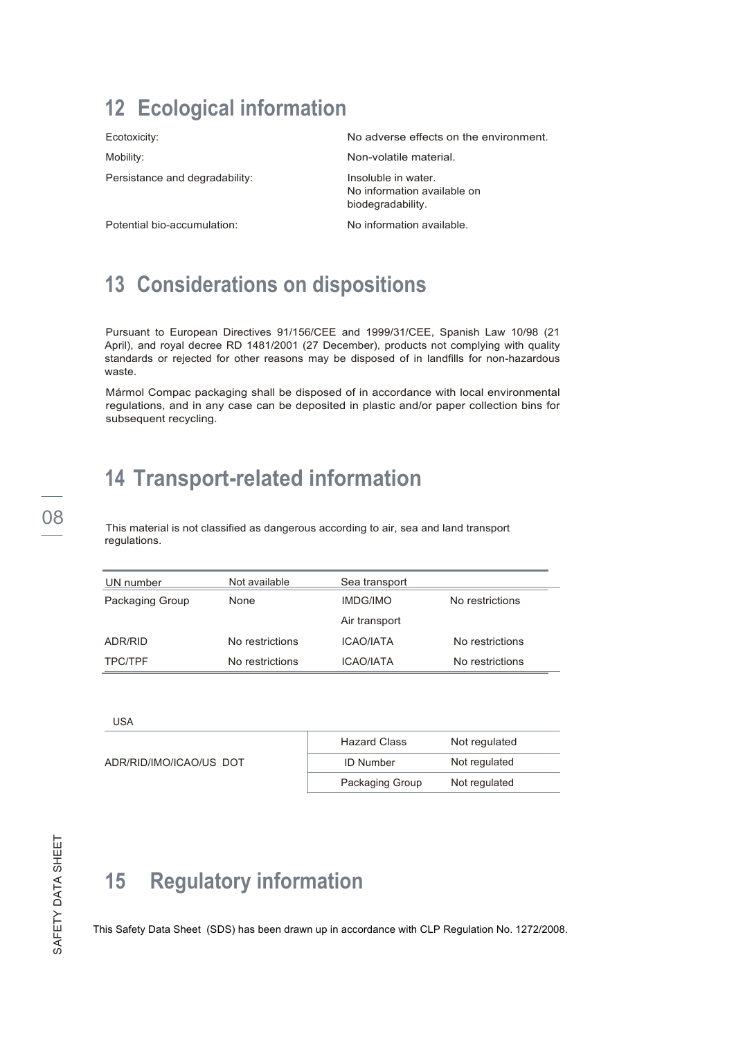### **12 Ecological information**

Ecotoxicity:

Mobility:

Persistance and degradability:

No adverse effects on the environment.

Non-volatile material.

Insoluble in water. No information available on biodegradability.

Potential bio-accumulation:

No information available.

### **13 Considerations on dispositions**

Pursuant to European Directives 91/156/CEE and 1999/31/CEE, Spanish Law 10/98 (21 April), and royal decree RD 1481/2001 (27 December), products not complying with quality standards or rejected for other reasons may be disposed of in landfills for non-hazardous waste.

Mármol Compac packaging shall be disposed of in accordance with local environmental regulations, and in any case can be deposited in plastic and/or paper collection bins for subsequent recycling.

### **14 Transport-related information**

08 This material is not classified as dangerous according to air, sea and land transport regulations.

| UN number       | Not available   | Sea transport    |                 |
|-----------------|-----------------|------------------|-----------------|
| Packaging Group | None            | <b>IMDG/IMO</b>  | No restrictions |
|                 |                 | Air transport    |                 |
| ADR/RID         | No restrictions | ICAO/IATA        | No restrictions |
| <b>TPC/TPF</b>  | No restrictions | <b>ICAO/IATA</b> | No restrictions |

USA

| ADR/RID/IMO/ICAO/US DOT | <b>Hazard Class</b> | Not regulated |
|-------------------------|---------------------|---------------|
|                         | <b>ID Number</b>    | Not regulated |
|                         | Packaging Group     | Not regulated |

# **15 Regulatory information**

This Safety Data Sheet (SDS) has been drawn up in accordance with CLP Regulation No. 1272/2008.